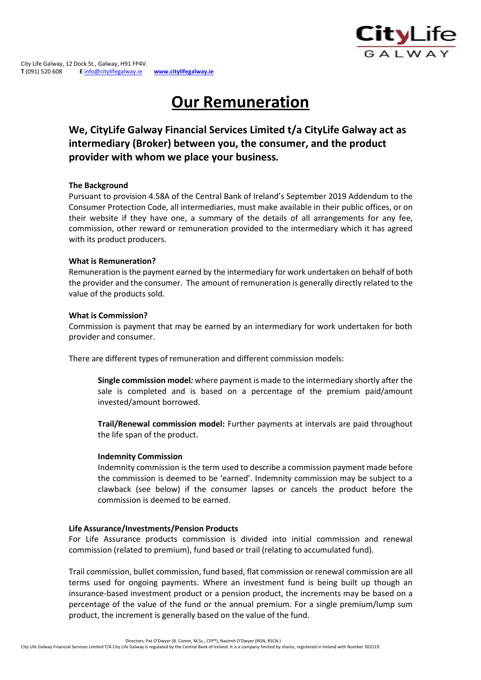# **Our Remuneration**

**We, CityLife Galway Financial Services Limited t/a CityLife Galway act as intermediary (Broker) between you, the consumer, and the product provider with whom we place your business***.*

# **The Background**

Pursuant to provision 4.58A of the Central Bank of Ireland's September 2019 Addendum to the Consumer Protection Code, all intermediaries, must make available in their public offices, or on their website if they have one, a summary of the details of all arrangements for any fee, commission, other reward or remuneration provided to the intermediary which it has agreed with its product producers.

# **What is Remuneration?**

Remuneration isthe payment earned by the intermediary for work undertaken on behalf of both the provider and the consumer. The amount of remuneration is generally directly related to the value of the products sold.

# **What is Commission?**

Commission is payment that may be earned by an intermediary for work undertaken for both provider and consumer.

There are different types of remuneration and different commission models:

**Single commission model***:* where payment is made to the intermediary shortly after the sale is completed and is based on a percentage of the premium paid/amount invested/amount borrowed.

**Trail/Renewal commission model:** Further payments at intervals are paid throughout the life span of the product.

## **Indemnity Commission**

Indemnity commission is the term used to describe a commission payment made before the commission is deemed to be 'earned'. Indemnity commission may be subject to a clawback (see below) if the consumer lapses or cancels the product before the commission is deemed to be earned.

# **Life Assurance/Investments/Pension Products**

For Life Assurance products commission is divided into initial commission and renewal commission (related to premium), fund based or trail (relating to accumulated fund).

Trail commission, bullet commission, fund based, flat commission or renewal commission are all terms used for ongoing payments. Where an investment fund is being built up though an insurance-based investment product or a pension product, the increments may be based on a percentage of the value of the fund or the annual premium. For a single premium/lump sum product, the increment is generally based on the value of the fund.

Directors: Pat O'Dwyer (B. Comm, M.Sc., CFP®), Naoimh O'Dwyer (RGN, RSCN.)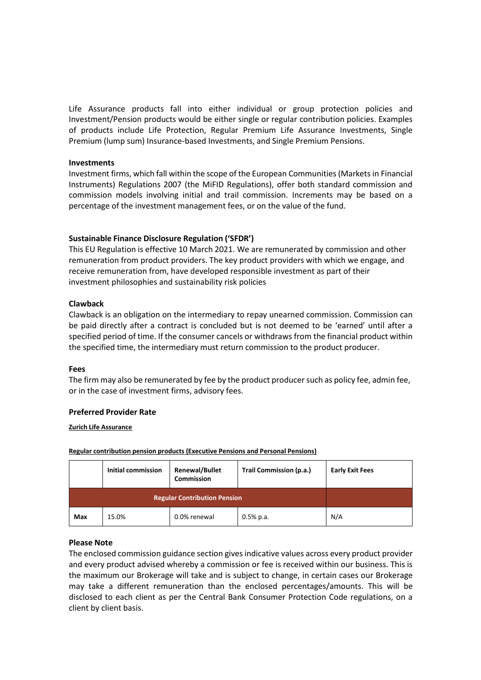Life Assurance products fall into either individual or group protection policies and Investment/Pension products would be either single or regular contribution policies. Examples of products include Life Protection, Regular Premium Life Assurance Investments, Single Premium (lump sum) Insurance-based Investments, and Single Premium Pensions.

#### **Investments**

Investment firms, which fall within the scope of the European Communities(Markets in Financial Instruments) Regulations 2007 (the MiFID Regulations), offer both standard commission and commission models involving initial and trail commission. Increments may be based on a percentage of the investment management fees, or on the value of the fund.

## **Sustainable Finance Disclosure Regulation ('SFDR')**

This EU Regulation is effective 10 March 2021. We are remunerated by commission and other remuneration from product providers. The key product providers with which we engage, and receive remuneration from, have developed responsible investment as part of their investment philosophies and sustainability risk policies

## **Clawback**

Clawback is an obligation on the intermediary to repay unearned commission. Commission can be paid directly after a contract is concluded but is not deemed to be 'earned' until after a specified period of time. If the consumer cancels or withdraws from the financial product within the specified time, the intermediary must return commission to the product producer.

## **Fees**

The firm may also be remunerated by fee by the product producersuch as policy fee, admin fee, or in the case of investment firms, advisory fees.

## **Preferred Provider Rate**

**Zurich Life Assurance**

|     | <b>Initial commission</b><br><b>Renewal/Bullet</b><br><b>Commission</b> |              | Trail Commission (p.a.) | <b>Early Exit Fees</b> |
|-----|-------------------------------------------------------------------------|--------------|-------------------------|------------------------|
|     | <b>Regular Contribution Pension</b>                                     |              |                         |                        |
| Max | 15.0%                                                                   | 0.0% renewal | $0.5%$ p.a.             | N/A                    |

**Regular contribution pension products (Executive Pensions and Personal Pensions)**

#### **Please Note**

The enclosed commission guidance section givesindicative values across every product provider and every product advised whereby a commission or fee is received within our business. This is the maximum our Brokerage will take and is subject to change, in certain cases our Brokerage may take a different remuneration than the enclosed percentages/amounts. This will be disclosed to each client as per the Central Bank Consumer Protection Code regulations, on a client by client basis.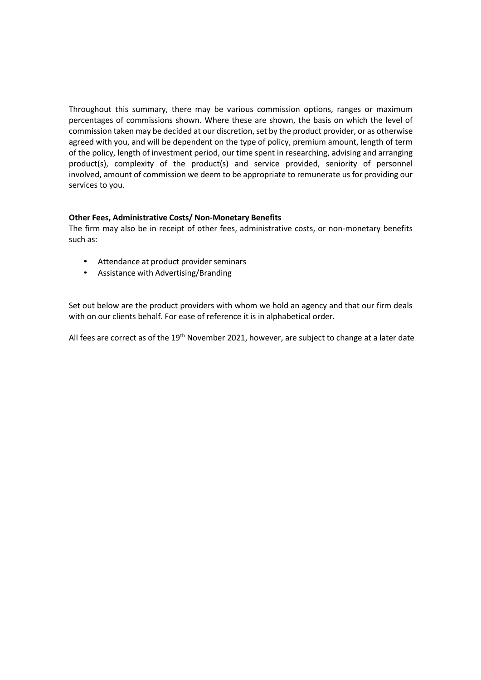Throughout this summary, there may be various commission options, ranges or maximum percentages of commissions shown. Where these are shown, the basis on which the level of commission taken may be decided at our discretion, set by the product provider, or as otherwise agreed with you, and will be dependent on the type of policy, premium amount, length of term of the policy, length of investment period, our time spent in researching, advising and arranging product(s), complexity of the product(s) and service provided, seniority of personnel involved, amount of commission we deem to be appropriate to remunerate us for providing our services to you.

# **Other Fees, Administrative Costs/ Non-Monetary Benefits**

The firm may also be in receipt of other fees, administrative costs, or non-monetary benefits such as:

- Attendance at product provider seminars
- Assistance with Advertising/Branding

Set out below are the product providers with whom we hold an agency and that our firm deals with on our clients behalf. For ease of reference it is in alphabetical order.

All fees are correct as of the 19<sup>th</sup> November 2021, however, are subject to change at a later date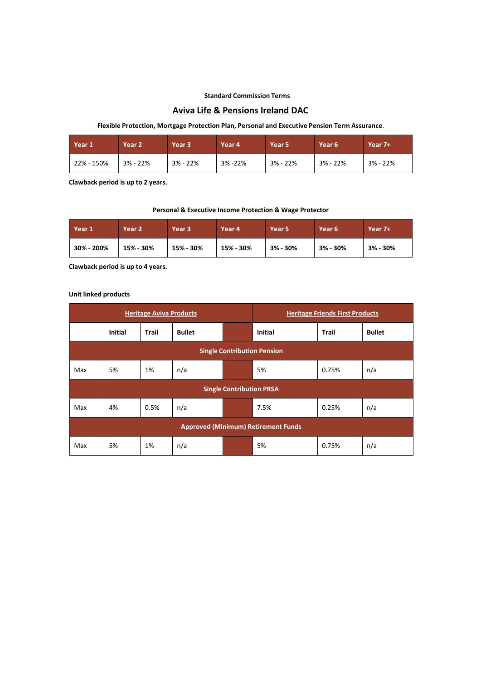#### **Standard Commission Terms**

## **Aviva Life & Pensions Ireland DAC**

#### **Flexible Protection, Mortgage Protection Plan, Personal and Executive Pension Term Assurance**.

| <b>Year 1</b> | Year <sub>2</sub> | Year <sub>3</sub> | Year 4  | Year 5     | Year 6     | Year $7+$  |
|---------------|-------------------|-------------------|---------|------------|------------|------------|
| 22% - 150%    | $3% - 22%$        | $3% - 22%$        | 3% -22% | $3% - 22%$ | $3% - 22%$ | $3% - 22%$ |

**Clawback period is up to 2 years.**

#### **Personal & Executive Income Protection & Wage Protector**

| Year 1     | Year <sub>2</sub> | Year 3    | Year 4    | Year 5   | Year <sub>6</sub> | Year 7+  |
|------------|-------------------|-----------|-----------|----------|-------------------|----------|
| 30% - 200% | 15% - 30%         | 15% - 30% | 15% - 30% | 3% - 30% | $3% - 30%$        | 3% - 30% |

**Clawback period is up to 4 years.**

#### **Unit linked products**

| <b>Heritage Aviva Products</b>     |                                            |              |               | <b>Heritage Friends First Products</b> |                |       |               |  |
|------------------------------------|--------------------------------------------|--------------|---------------|----------------------------------------|----------------|-------|---------------|--|
|                                    | <b>Initial</b>                             | <b>Trail</b> | <b>Bullet</b> |                                        | <b>Initial</b> | Trail | <b>Bullet</b> |  |
| <b>Single Contribution Pension</b> |                                            |              |               |                                        |                |       |               |  |
| Max                                | 5%                                         | 1%           | n/a           |                                        | 5%             | 0.75% | n/a           |  |
|                                    |                                            |              |               | <b>Single Contribution PRSA</b>        |                |       |               |  |
| Max                                | 4%                                         | 0.5%         | n/a           |                                        | 7.5%           | 0.25% | n/a           |  |
|                                    | <b>Approved (Minimum) Retirement Funds</b> |              |               |                                        |                |       |               |  |
| Max                                | 5%                                         | 1%           | n/a           |                                        | 5%             | 0.75% | n/a           |  |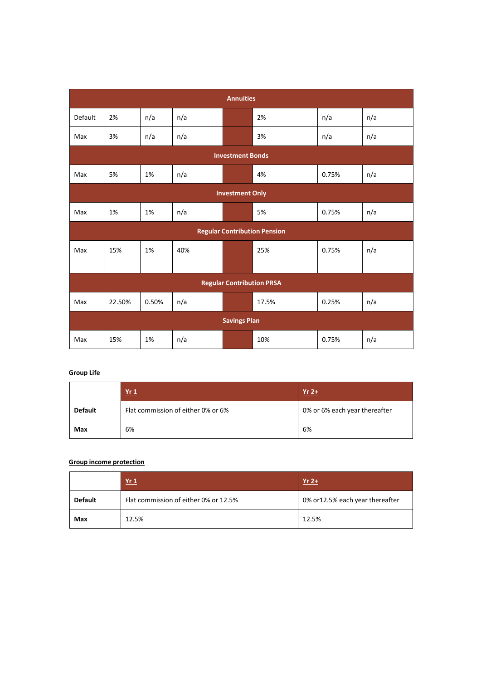| <b>Annuities</b>       |                                  |       |     |                     |                                     |       |     |  |  |  |
|------------------------|----------------------------------|-------|-----|---------------------|-------------------------------------|-------|-----|--|--|--|
| Default                | 2%                               | n/a   | n/a |                     | 2%                                  | n/a   | n/a |  |  |  |
| Max                    | 3%                               | n/a   | n/a |                     | 3%                                  | n/a   | n/a |  |  |  |
|                        | <b>Investment Bonds</b>          |       |     |                     |                                     |       |     |  |  |  |
| Max                    | 5%                               | 1%    | n/a |                     | 4%                                  | 0.75% | n/a |  |  |  |
| <b>Investment Only</b> |                                  |       |     |                     |                                     |       |     |  |  |  |
| Max                    | 1%                               | 1%    | n/a |                     | 5%                                  | 0.75% | n/a |  |  |  |
|                        |                                  |       |     |                     | <b>Regular Contribution Pension</b> |       |     |  |  |  |
| Max                    | 15%                              | 1%    | 40% |                     | 25%                                 | 0.75% | n/a |  |  |  |
|                        |                                  |       |     |                     |                                     |       |     |  |  |  |
|                        | <b>Regular Contribution PRSA</b> |       |     |                     |                                     |       |     |  |  |  |
| Max                    | 22.50%                           | 0.50% | n/a |                     | 17.5%                               | 0.25% | n/a |  |  |  |
|                        |                                  |       |     | <b>Savings Plan</b> |                                     |       |     |  |  |  |
| Max                    | 15%                              | 1%    | n/a |                     | 10%                                 | 0.75% | n/a |  |  |  |

# **Group Life**

|                | Yr1                                | $Yr$ 2+                       |
|----------------|------------------------------------|-------------------------------|
| <b>Default</b> | Flat commission of either 0% or 6% | 0% or 6% each year thereafter |
| Max            | 6%                                 | 6%                            |

#### **Group income protection**

|                | Yr <sub>1</sub>                       | $Yr$ 2+                          |
|----------------|---------------------------------------|----------------------------------|
| <b>Default</b> | Flat commission of either 0% or 12.5% | 0% or 12.5% each year thereafter |
| Max            | 12.5%                                 | 12.5%                            |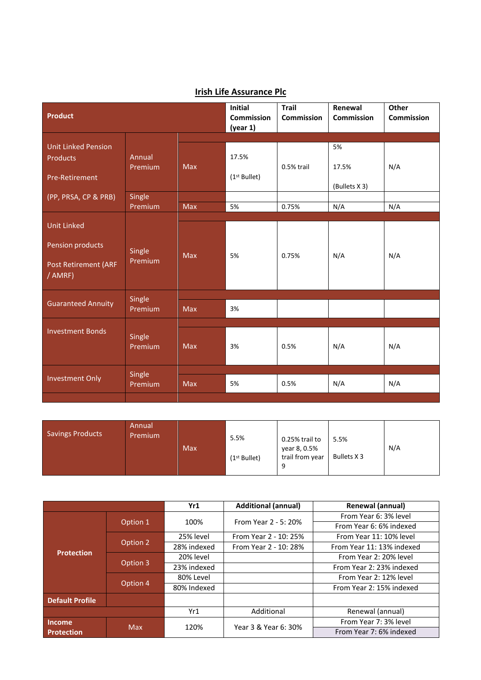| Product                                                                          | <b>Initial</b><br>Commission<br>(year 1) | <b>Trail</b><br>Commission | Renewal<br><b>Commission</b> | Other<br><b>Commission</b> |                              |     |
|----------------------------------------------------------------------------------|------------------------------------------|----------------------------|------------------------------|----------------------------|------------------------------|-----|
| <b>Unit Linked Pension</b><br><b>Products</b><br>Pre-Retirement                  | Annual<br>Premium                        | <b>Max</b>                 | 17.5%<br>$(1st$ Bullet)      | 0.5% trail                 | 5%<br>17.5%<br>(Bullets X 3) | N/A |
| (PP, PRSA, CP & PRB)                                                             | Single<br>Premium                        | Max                        | 5%                           | 0.75%                      | N/A                          | N/A |
| <b>Unit Linked</b><br>Pension products<br><b>Post Retirement (ARF</b><br>/ AMRF) | Single<br>Premium                        | Max                        | 5%                           | 0.75%                      | N/A                          | N/A |
| <b>Guaranteed Annuity</b>                                                        | Single<br>Premium                        | <b>Max</b>                 | 3%                           |                            |                              |     |
| <b>Investment Bonds</b>                                                          | Single<br>Premium                        | <b>Max</b>                 | 3%                           | 0.5%                       | N/A                          | N/A |
| <b>Investment Only</b>                                                           | Single<br>Premium                        | Max                        | 5%                           | 0.5%                       | N/A                          | N/A |

# **Irish Life Assurance Plc**

| <b>Savings Products</b> | Annual<br>Premium | Max | 5.5%<br>(1 <sup>st</sup> Bullet) | 0.25% trail to<br>year 8, 0.5%<br>trail from year | 5.5%<br>Bullets X 3 | N/A |
|-------------------------|-------------------|-----|----------------------------------|---------------------------------------------------|---------------------|-----|
|-------------------------|-------------------|-----|----------------------------------|---------------------------------------------------|---------------------|-----|

|                        |                     | Yr1         | <b>Additional (annual)</b> | Renewal (annual)          |  |
|------------------------|---------------------|-------------|----------------------------|---------------------------|--|
|                        |                     |             |                            | From Year 6: 3% level     |  |
|                        | Option 1            | 100%        | From Year 2 - 5: 20%       | From Year 6: 6% indexed   |  |
|                        |                     | 25% level   | From Year 2 - 10: 25%      | From Year 11: 10% level   |  |
|                        | Option <sub>2</sub> | 28% indexed | From Year 2 - 10: 28%      | From Year 11: 13% indexed |  |
| <b>Protection</b>      | Option 3            | 20% level   |                            | From Year 2: 20% level    |  |
|                        |                     | 23% indexed |                            | From Year 2: 23% indexed  |  |
|                        | Option 4            | 80% Level   |                            | From Year 2: 12% level    |  |
|                        |                     | 80% Indexed |                            | From Year 2: 15% indexed  |  |
| <b>Default Profile</b> |                     |             |                            |                           |  |
|                        |                     | Yr1         | Additional                 | Renewal (annual)          |  |
| <b>Income</b>          | <b>Max</b>          |             | Year 3 & Year 6: 30%       | From Year 7: 3% level     |  |
| <b>Protection</b>      |                     | 120%        |                            | From Year 7: 6% indexed   |  |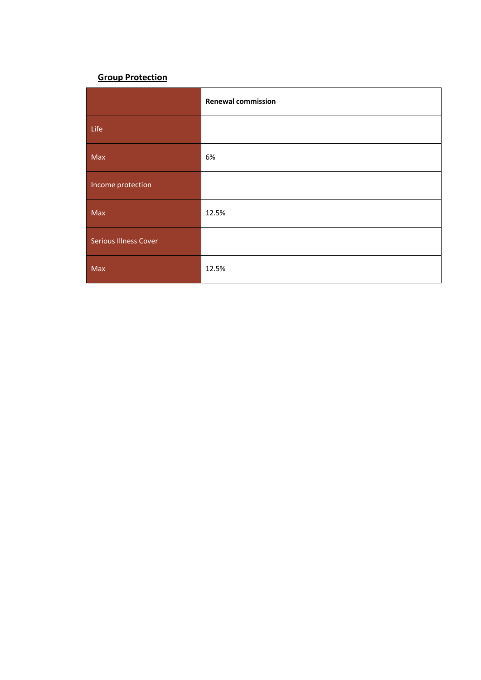# **Group Protection**

|                              | <b>Renewal commission</b> |
|------------------------------|---------------------------|
| Life                         |                           |
| Max                          | 6%                        |
| Income protection            |                           |
| Max                          | 12.5%                     |
| <b>Serious Illness Cover</b> |                           |
| Max                          | 12.5%                     |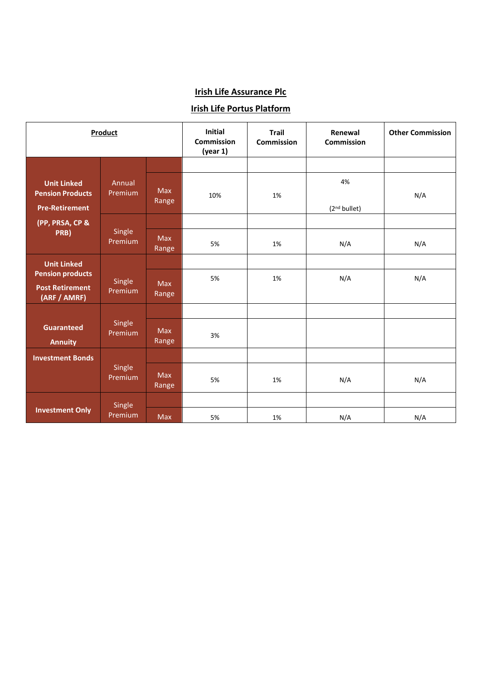# **Irish Life Assurance Plc**

# **Irish Life Portus Platform**

|                                                                        | Product           |                     | <b>Initial</b><br><b>Commission</b><br>(year 1) | <b>Trail</b><br><b>Commission</b> | Renewal<br><b>Commission</b>   | <b>Other Commission</b> |
|------------------------------------------------------------------------|-------------------|---------------------|-------------------------------------------------|-----------------------------------|--------------------------------|-------------------------|
|                                                                        |                   |                     |                                                 |                                   |                                |                         |
| <b>Unit Linked</b><br><b>Pension Products</b><br><b>Pre-Retirement</b> | Annual<br>Premium | <b>Max</b><br>Range | 10%                                             | 1%                                | 4%<br>(2 <sup>nd</sup> bullet) | N/A                     |
| (PP, PRSA, CP &                                                        |                   |                     |                                                 |                                   |                                |                         |
| PRB)                                                                   | Single<br>Premium | Max<br>Range        | 5%                                              | 1%                                | N/A                            | N/A                     |
| <b>Unit Linked</b>                                                     |                   |                     |                                                 |                                   |                                |                         |
| <b>Pension products</b><br><b>Post Retirement</b><br>(ARF / AMRF)      | Single<br>Premium | <b>Max</b><br>Range | 5%                                              | 1%                                | N/A                            | N/A                     |
|                                                                        |                   |                     |                                                 |                                   |                                |                         |
| <b>Guaranteed</b><br><b>Annuity</b>                                    | Single<br>Premium | Max<br>Range        | 3%                                              |                                   |                                |                         |
| <b>Investment Bonds</b>                                                |                   |                     |                                                 |                                   |                                |                         |
|                                                                        | Single<br>Premium | <b>Max</b><br>Range | 5%                                              | 1%                                | N/A                            | N/A                     |
|                                                                        | Single            |                     |                                                 |                                   |                                |                         |
| <b>Investment Only</b>                                                 | Premium           | Max                 | 5%                                              | 1%                                | N/A                            | N/A                     |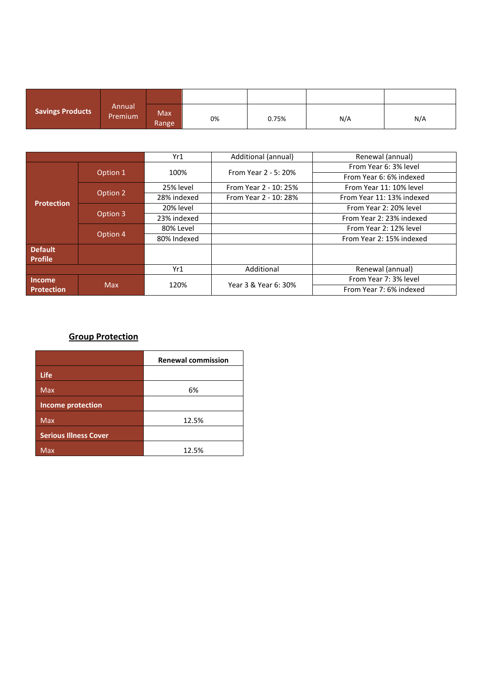| <b>Savings Products</b> | Annual<br>Premium | <b>Max</b><br>Range | 0% | 0.75% | N/A | N/A |
|-------------------------|-------------------|---------------------|----|-------|-----|-----|

|                   |            | Yr1         | Additional (annual)   | Renewal (annual)          |  |
|-------------------|------------|-------------|-----------------------|---------------------------|--|
|                   |            | 100%        | From Year 2 - 5: 20%  | From Year 6: 3% level     |  |
|                   | Option 1   |             |                       | From Year 6: 6% indexed   |  |
|                   |            | 25% level   | From Year 2 - 10: 25% | From Year 11: 10% level   |  |
|                   | Option 2   | 28% indexed | From Year 2 - 10: 28% | From Year 11: 13% indexed |  |
| <b>Protection</b> | Option 3   | 20% level   |                       | From Year 2: 20% level    |  |
|                   |            | 23% indexed |                       | From Year 2: 23% indexed  |  |
|                   | Option 4   | 80% Level   |                       | From Year 2: 12% level    |  |
|                   |            | 80% Indexed |                       | From Year 2: 15% indexed  |  |
| <b>Default</b>    |            |             |                       |                           |  |
| <b>Profile</b>    |            |             |                       |                           |  |
|                   |            | Yr1         | Additional            | Renewal (annual)          |  |
| <b>Income</b>     |            | 120%        | Year 3 & Year 6: 30%  | From Year 7: 3% level     |  |
| <b>Protection</b> | <b>Max</b> |             |                       | From Year 7: 6% indexed   |  |

# **Group Protection**

|                              | <b>Renewal commission</b> |
|------------------------------|---------------------------|
| Life                         |                           |
| <b>Max</b>                   | 6%                        |
| <b>Income protection</b>     |                           |
| Max                          | 12.5%                     |
| <b>Serious Illness Cover</b> |                           |
| Max                          | 12.5%                     |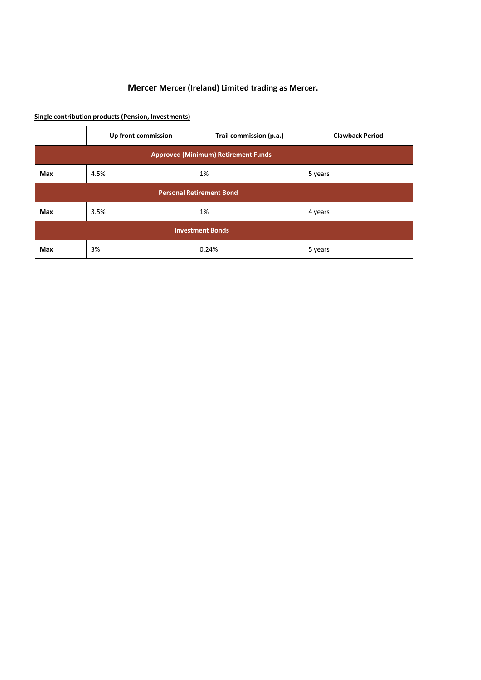# **Mercer Mercer (Ireland) Limited trading as Mercer.**

**Single contribution products (Pension, Investments)**

|     | Up front commission                        | Trail commission (p.a.)         | <b>Clawback Period</b> |
|-----|--------------------------------------------|---------------------------------|------------------------|
|     | <b>Approved (Minimum) Retirement Funds</b> |                                 |                        |
| Max | 4.5%                                       | 1%                              | 5 years                |
|     |                                            | <b>Personal Retirement Bond</b> |                        |
| Max | 3.5%                                       | 1%                              | 4 years                |
|     | <b>Investment Bonds</b>                    |                                 |                        |
| Max | 3%                                         | 0.24%                           | 5 years                |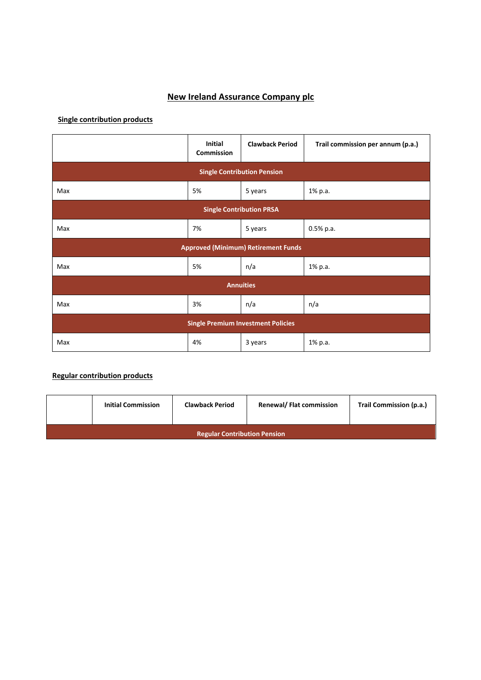# **New Ireland Assurance Company plc**

# **Single contribution products**

|                                           | Initial<br><b>Commission</b>       | <b>Clawback Period</b>                     | Trail commission per annum (p.a.) |  |  |  |
|-------------------------------------------|------------------------------------|--------------------------------------------|-----------------------------------|--|--|--|
|                                           | <b>Single Contribution Pension</b> |                                            |                                   |  |  |  |
| Max                                       | 5%                                 | 5 years                                    | 1% p.a.                           |  |  |  |
| <b>Single Contribution PRSA</b>           |                                    |                                            |                                   |  |  |  |
| Max                                       | 7%                                 | 5 years                                    | 0.5% p.a.                         |  |  |  |
|                                           |                                    | <b>Approved (Minimum) Retirement Funds</b> |                                   |  |  |  |
| Max                                       | 5%                                 | n/a                                        | 1% p.a.                           |  |  |  |
|                                           |                                    | <b>Annuities</b>                           |                                   |  |  |  |
| Max                                       | 3%                                 | n/a                                        | n/a                               |  |  |  |
| <b>Single Premium Investment Policies</b> |                                    |                                            |                                   |  |  |  |
| Max                                       | 4%                                 | 3 years                                    | 1% p.a.                           |  |  |  |

# **Regular contribution products**

|                                     | <b>Initial Commission</b> | <b>Clawback Period</b> | <b>Renewal/ Flat commission</b> | Trail Commission (p.a.) |  |  |
|-------------------------------------|---------------------------|------------------------|---------------------------------|-------------------------|--|--|
| <b>Regular Contribution Pension</b> |                           |                        |                                 |                         |  |  |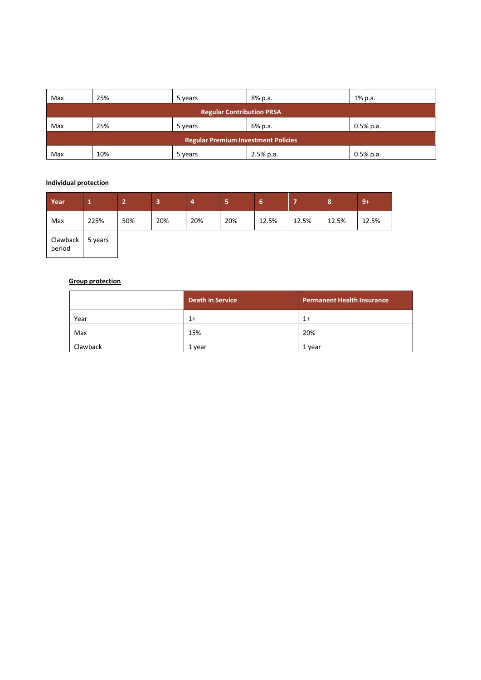| Max                                        | 25% | 5 years | 8% p.a.     | 1% p.a.      |  |
|--------------------------------------------|-----|---------|-------------|--------------|--|
| <b>Regular Contribution PRSA</b>           |     |         |             |              |  |
| Max                                        | 25% | 5 years | 6% p.a.     | $0.5\%$ p.a. |  |
| <b>Regular Premium Investment Policies</b> |     |         |             |              |  |
| Max                                        | 10% | 5 years | $2.5%$ p.a. | $0.5%$ p.a.  |  |

## **Individual protection**

| Year               |         | -   | 3   | 4   | ь   | 6     | -     | 8     | $9+$  |
|--------------------|---------|-----|-----|-----|-----|-------|-------|-------|-------|
| Max                | 225%    | 50% | 20% | 20% | 20% | 12.5% | 12.5% | 12.5% | 12.5% |
| Clawback<br>period | 5 years |     |     |     |     |       |       |       |       |

#### **Group protection**

|          | <b>Death in Service</b> | <b>Permanent Health Insurance</b> |
|----------|-------------------------|-----------------------------------|
| Year     | $1+$                    | $1+$                              |
| Max      | 15%                     | 20%                               |
| Clawback | 1 year                  | 1 year                            |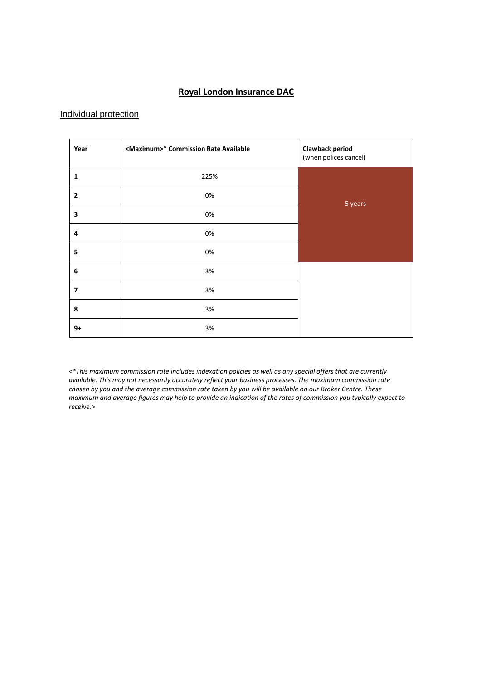# **Royal London Insurance DAC**

## Individual protection

| Year           | <maximum>* Commission Rate Available</maximum> | <b>Clawback period</b><br>(when polices cancel) |
|----------------|------------------------------------------------|-------------------------------------------------|
| 1              | 225%                                           |                                                 |
| $\mathbf{2}$   | 0%                                             | 5 years                                         |
| 3              | 0%                                             |                                                 |
| 4              | 0%                                             |                                                 |
| 5              | 0%                                             |                                                 |
| 6              | 3%                                             |                                                 |
| $\overline{ }$ | 3%                                             |                                                 |
| 8              | 3%                                             |                                                 |
| $9+$           | 3%                                             |                                                 |

*<\*This maximum commission rate includes indexation policies as well as any special offers that are currently available. This may not necessarily accurately reflect your business processes. The maximum commission rate chosen by you and the average commission rate taken by you will be available on our Broker Centre. These maximum and average figures may help to provide an indication of the rates of commission you typically expect to receive.>*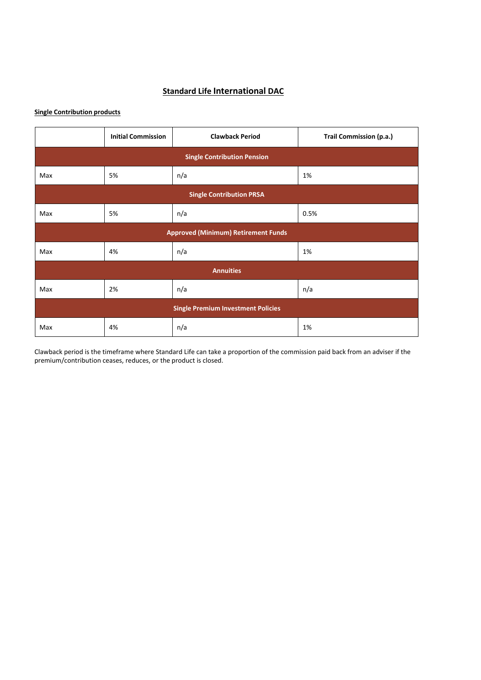# **Standard Life International DAC**

## **Single Contribution products**

|                                           | <b>Initial Commission</b> | <b>Clawback Period</b>                     | Trail Commission (p.a.) |  |  |  |
|-------------------------------------------|---------------------------|--------------------------------------------|-------------------------|--|--|--|
| <b>Single Contribution Pension</b>        |                           |                                            |                         |  |  |  |
| Max                                       | 5%                        | n/a                                        | 1%                      |  |  |  |
| <b>Single Contribution PRSA</b>           |                           |                                            |                         |  |  |  |
| Max                                       | 5%                        | n/a                                        | 0.5%                    |  |  |  |
|                                           |                           | <b>Approved (Minimum) Retirement Funds</b> |                         |  |  |  |
| Max                                       | 4%                        | n/a                                        | 1%                      |  |  |  |
|                                           |                           | <b>Annuities</b>                           |                         |  |  |  |
| Max                                       | 2%                        | n/a                                        | n/a                     |  |  |  |
| <b>Single Premium Investment Policies</b> |                           |                                            |                         |  |  |  |
| Max                                       | 4%                        | n/a                                        | 1%                      |  |  |  |

Clawback period is the timeframe where Standard Life can take a proportion of the commission paid back from an adviser if the premium/contribution ceases, reduces, or the product is closed.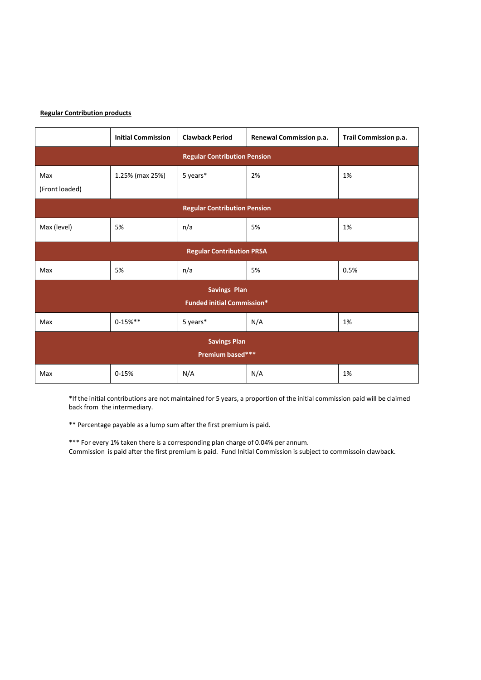#### **Regular Contribution products**

|                                     | <b>Initial Commission</b> | <b>Clawback Period</b>            | Renewal Commission p.a. | Trail Commission p.a. |  |  |
|-------------------------------------|---------------------------|-----------------------------------|-------------------------|-----------------------|--|--|
| <b>Regular Contribution Pension</b> |                           |                                   |                         |                       |  |  |
| Max                                 | 1.25% (max 25%)           | 5 years*                          | 2%                      | 1%                    |  |  |
| (Front loaded)                      |                           |                                   |                         |                       |  |  |
| <b>Regular Contribution Pension</b> |                           |                                   |                         |                       |  |  |
| Max (level)                         | 5%                        | n/a                               | 5%                      | 1%                    |  |  |
|                                     |                           | <b>Regular Contribution PRSA</b>  |                         |                       |  |  |
| Max                                 | 5%                        | n/a                               | 5%                      | 0.5%                  |  |  |
|                                     |                           | <b>Savings Plan</b>               |                         |                       |  |  |
|                                     |                           | <b>Funded initial Commission*</b> |                         |                       |  |  |
| Max                                 | $0 - 15%$ **              | 5 years*                          | N/A                     | 1%                    |  |  |
| <b>Savings Plan</b>                 |                           |                                   |                         |                       |  |  |
|                                     |                           | Premium based***                  |                         |                       |  |  |
| Max                                 | $0 - 15%$                 | N/A                               | N/A                     | 1%                    |  |  |

\*If the initial contributions are not maintained for 5 years, a proportion of the initial commission paid will be claimed back from the intermediary.

\*\* Percentage payable as a lump sum after the first premium is paid.

\*\*\* For every 1% taken there is a corresponding plan charge of 0.04% per annum. Commission is paid after the first premium is paid. Fund Initial Commission is subject to commissoin clawback.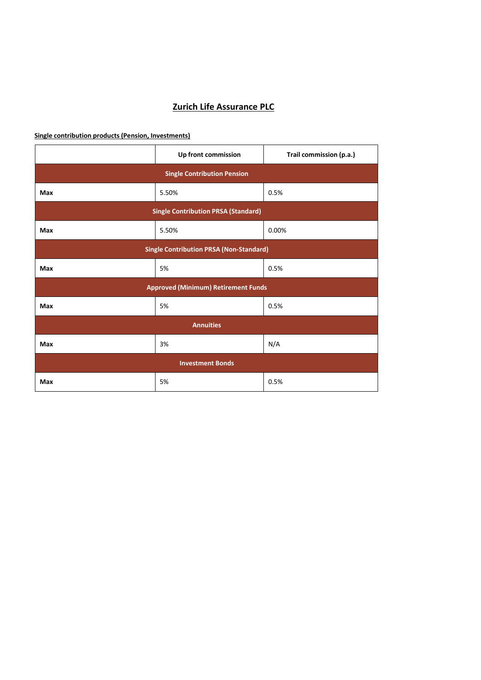# **Zurich Life Assurance PLC**

**Single contribution products (Pension, Investments)**

|                                                | Up front commission                        | Trail commission (p.a.) |  |  |
|------------------------------------------------|--------------------------------------------|-------------------------|--|--|
| <b>Single Contribution Pension</b>             |                                            |                         |  |  |
| Max                                            | 5.50%                                      | 0.5%                    |  |  |
|                                                | <b>Single Contribution PRSA (Standard)</b> |                         |  |  |
| Max                                            | 5.50%                                      | 0.00%                   |  |  |
| <b>Single Contribution PRSA (Non-Standard)</b> |                                            |                         |  |  |
| Max                                            | 5%                                         | 0.5%                    |  |  |
|                                                | <b>Approved (Minimum) Retirement Funds</b> |                         |  |  |
| Max                                            | 5%                                         | 0.5%                    |  |  |
| <b>Annuities</b>                               |                                            |                         |  |  |
| <b>Max</b>                                     | 3%                                         | N/A                     |  |  |
| <b>Investment Bonds</b>                        |                                            |                         |  |  |
| <b>Max</b>                                     | 5%                                         | 0.5%                    |  |  |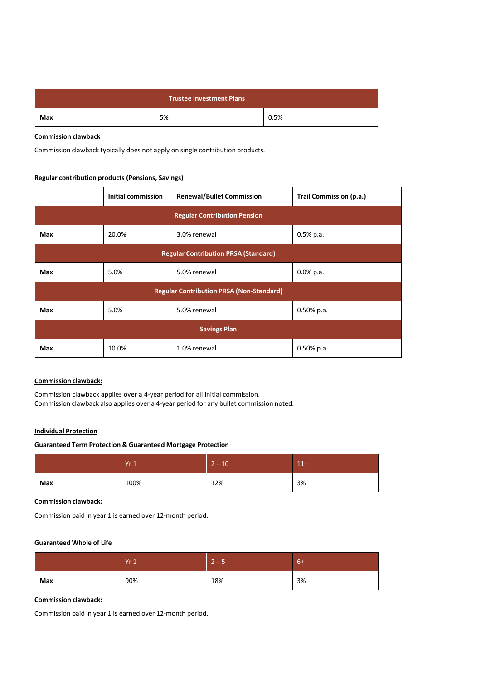| <b>Trustee Investment Plans</b> |    |      |  |
|---------------------------------|----|------|--|
| Max                             | 5% | 0.5% |  |

#### **Commission clawback**

Commission clawback typically does not apply on single contribution products.

#### **Regular contribution products (Pensions, Savings)**

|                                             | <b>Initial commission</b>                       | <b>Renewal/Bullet Commission</b> | Trail Commission (p.a.) |  |
|---------------------------------------------|-------------------------------------------------|----------------------------------|-------------------------|--|
| <b>Regular Contribution Pension</b>         |                                                 |                                  |                         |  |
| Max                                         | 20.0%                                           | 3.0% renewal                     | $0.5%$ p.a.             |  |
| <b>Regular Contribution PRSA (Standard)</b> |                                                 |                                  |                         |  |
| Max                                         | 5.0%                                            | 5.0% renewal                     | $0.0\%$ p.a.            |  |
|                                             | <b>Regular Contribution PRSA (Non-Standard)</b> |                                  |                         |  |
| Max                                         | 5.0%                                            | 5.0% renewal                     | $0.50\%$ p.a.           |  |
| <b>Savings Plan</b>                         |                                                 |                                  |                         |  |
| Max                                         | 10.0%                                           | 1.0% renewal                     | $0.50\%$ p.a.           |  |

#### **Commission clawback:**

Commission clawback applies over a 4-year period for all initial commission. Commission clawback also applies over a 4-year period for any bullet commission noted.

#### **Individual Protection**

#### **Guaranteed Term Protection & Guaranteed Mortgage Protection**

|     | Yr1  | $2 - 10$ | $11+$ |
|-----|------|----------|-------|
| Max | 100% | 12%      | 3%    |

#### **Commission clawback:**

Commission paid in year 1 is earned over 12-month period.

#### **Guaranteed Whole of Life**

|     | Yr1 | $2 - 5$ | $6+$ |
|-----|-----|---------|------|
| Max | 90% | 18%     | 3%   |

#### **Commission clawback:**

Commission paid in year 1 is earned over 12-month period.